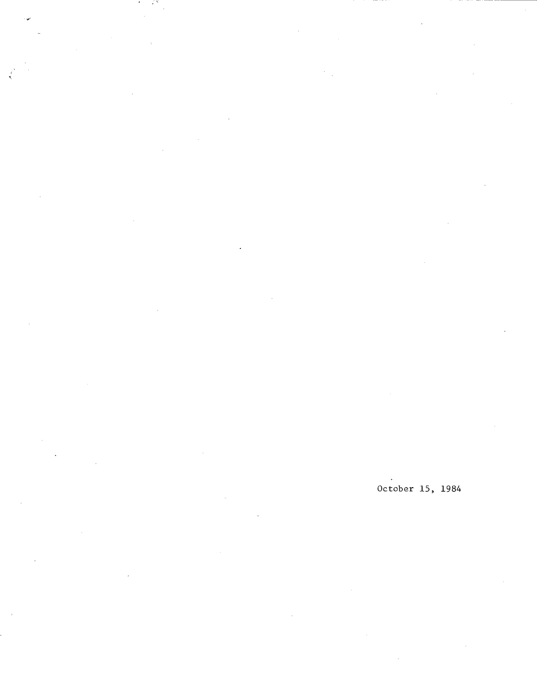October 15, 1984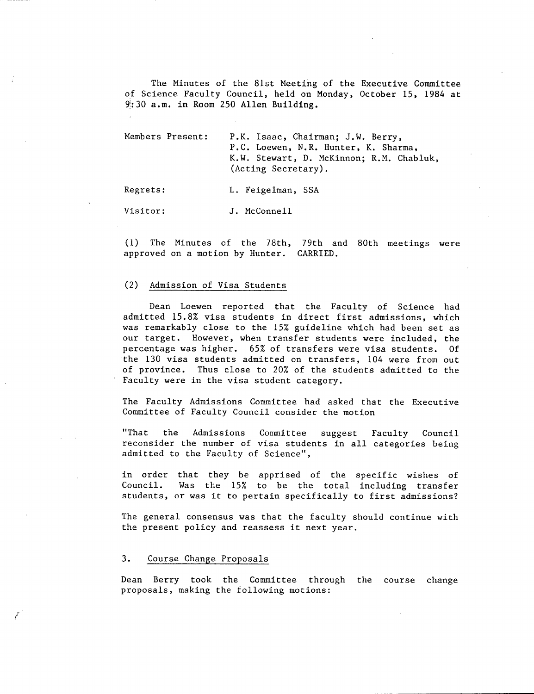The Minutes of the 81st Meeting of the Executive Committee of Science Faculty Council, held on Monday, October 15, 1984 at 9:30 a.m. in Room 250 Allen Building.

| Members Present: | P.K. Isaac, Chairman; J.W. Berry,        |  |  |  |  |  |  |
|------------------|------------------------------------------|--|--|--|--|--|--|
|                  | P.C. Loewen, N.R. Hunter, K. Sharma,     |  |  |  |  |  |  |
|                  | K.W. Stewart, D. McKinnon: R.M. Chabluk, |  |  |  |  |  |  |
|                  | (Acting Secretary).                      |  |  |  |  |  |  |

Regrets: L. Feigelman, SSA

Visitor: J. McConnell

(1) The Minutes of the 78th, 79th and 80th meetings were approved on a motion by Hunter. CARRIED.

#### $(2)$ Admission of Visa Students

Dean Loewen reported that the Faculty of Science had admitted 15.8% visa students in direct first admissions, which was remarkably close to the 15% guideline which had been set as our target. However, when transfer students were included, the percentage was higher. 65% of transfers were visa students. Of the 130 visa students admitted on transfers, 104 were from out of province. Thus close to 20% of the students admitted to the Faculty were in the visa student category.

The Faculty Admissions Committee had asked that the Executive Committee of Faculty Council consider the motion

"That the Admissions Committee suggest Faculty Council reconsider the number of visa students in all categories being admitted to the Faculty of Science",

in order that they be apprised of the specific wishes of Council. Was the 15% to be the total including transfer students, or was it to pertain specifically to first admissions?

The general consensus was that the faculty should continue with the present policy and reassess it next year.

# 3. Course Change Proposals

Dean Berry took the Committee through the course change proposals, making the following motions: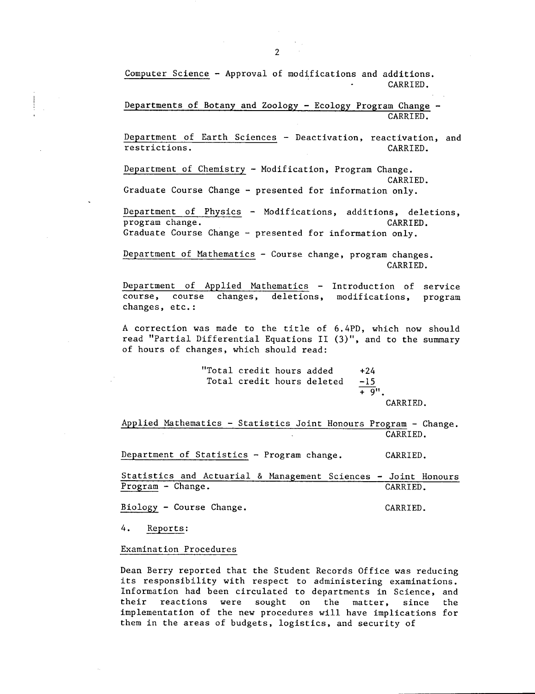Computer Science - Approval of modifications and additions. CARRIED.

Departments of Botany and Zoology - Ecology Program Change - CARRIED.

Department of Earth Sciences - Deactivation, reactivation, and restrictions. CARRIED.

Department of Chemistry - Modification, Program Change. CARRIED.

Graduate Course Change - presented for information only.

Department of Physics - Modifications, additions, deletions, program change. The contract of the contract of the contract of the contract of the contract of the contract of the contract of the contract of the contract of the contract of the contract of the contract of the contract o Graduate Course Change - presented for information only.

Department of Mathematics - Course change, program changes. CARRIED.

Department of Applied Mathematics - Introduction of service course, course changes, deletions, modifications, program changes, etc.:

A correction was made to the title of 6.4PD, which now should read "Partial Differential Equations II (3)", and to the summary of hours of changes, which should read:

> "Total credit hours added +24 Total credit hours deleted -15  $+ 9"$

CARRIED.

Applied Mathematics - Statistics Joint Honours Program - Change. CARRIED.

Department of Statistics - Program change. CARRIED.

Statistics and Actuarial & Management Sciences - Joint Honours Program - Change. CARRIED.

Biology - Course Change. The CARRIED.

4. Reports:

Examination Procedures

Dean Berry reported that the Student Records Office was reducing its responsibility with respect to administering examinations. Information had been circulated to departments in Science, and their reactions were sought on the matter, since the implementation of the new procedures will have implications for them in the areas of budgets, logistics, and security of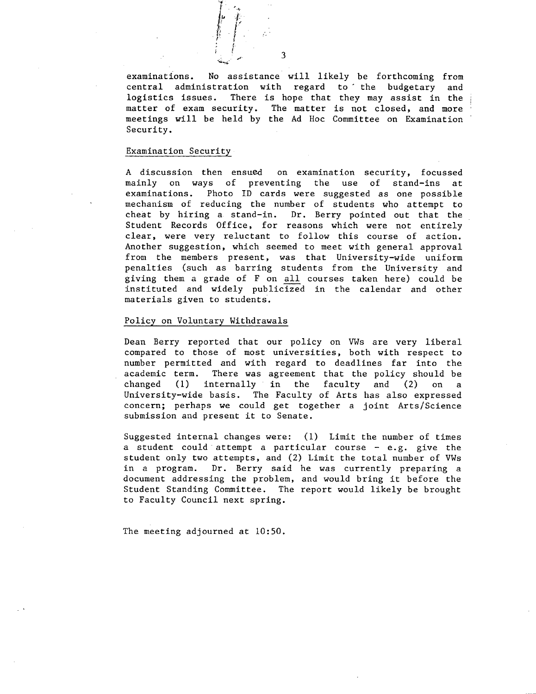

examinations. No assistance will likely be forthcoming from central administration with regard to the budgetary and logistics issues. There is hope that they may assist in the matter of exam security. The matter is not closed, and more meetings will be held by the Ad Hoc Committee on Examination Security.

#### Examination Securit

A discussion then ensued on examination security, focussed mainly on ways of preventing the use of stand-ins at examinations. Photo ID cards were suggested as one possible mechanism of reducing the number of students who attempt to cheat by hiring a stand-in. Dr. Berry pointed out that the Student Records Office, for reasons which were not entirely clear, were very reluctant to follow this course of action. Another suggestion, which seemed to meet with general approval from the members present, was that University-wide uniform penalties (such as barring students from the University and giving them a grade of F on all courses taken here) could be instituted and widely publicized in the calendar and other materials given to students.

### Policy on Voluntary Withdrawals

Dean Berry reported that our policy on VWs are very liberal compared to those of most universities, both with respect to number permitted and with regard to deadlines far into the academic term. There was agreement that the policy should be changed (1) internally in the faculty and (2) on a University-wide basis. The Faculty of Arts has also expressed concern; perhaps we could get together a joint Arts/Science submission and present it to Senate.

Suggested internal changes were: (1) Limit the number of times a student could attempt a particular course  $-$  e.g. give the student only two attempts, and (2) Limit the total number of VWs in a program. Dr. Berry said he was currently preparing a document addressing the problem, and would bring it before the Student Standing Committee. The report would likely be brought to Faculty Council next spring.

The meeting adjourned at 10:50.